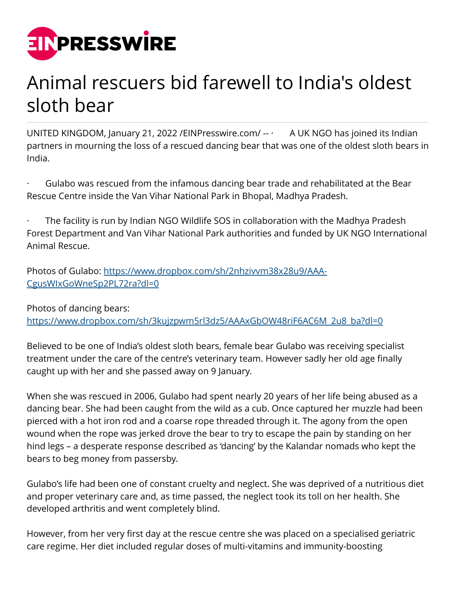

## Animal rescuers bid farewell to India's oldest sloth bear

UNITED KINGDOM, January 21, 2022 / EIN Presswire.com /  $\cdots$  A UK NGO has joined its Indian partners in mourning the loss of a rescued dancing bear that was one of the oldest sloth bears in India.

Gulabo was rescued from the infamous dancing bear trade and rehabilitated at the Bear Rescue Centre inside the Van Vihar National Park in Bhopal, Madhya Pradesh.

The facility is run by Indian NGO Wildlife SOS in collaboration with the Madhya Pradesh Forest Department and Van Vihar National Park authorities and funded by UK NGO International Animal Rescue.

Photos of Gulabo: [https://www.dropbox.com/sh/2nhzivvm38x28u9/AAA-](https://www.dropbox.com/sh/2nhzivvm38x28u9/AAA-CgusWIxGoWneSp2PL72ra?dl=0)[CgusWIxGoWneSp2PL72ra?dl=0](https://www.dropbox.com/sh/2nhzivvm38x28u9/AAA-CgusWIxGoWneSp2PL72ra?dl=0)

Photos of dancing bears: [https://www.dropbox.com/sh/3kujzpwm5rl3dz5/AAAxGbOW48riF6AC6M\\_2u8\\_ba?dl=0](https://www.dropbox.com/sh/3kujzpwm5rl3dz5/AAAxGbOW48riF6AC6M_2u8_ba?dl=0)

Believed to be one of India's oldest sloth bears, female bear Gulabo was receiving specialist treatment under the care of the centre's veterinary team. However sadly her old age finally caught up with her and she passed away on 9 January.

When she was rescued in 2006, Gulabo had spent nearly 20 years of her life being abused as a dancing bear. She had been caught from the wild as a cub. Once captured her muzzle had been pierced with a hot iron rod and a coarse rope threaded through it. The agony from the open wound when the rope was jerked drove the bear to try to escape the pain by standing on her hind legs – a desperate response described as 'dancing' by the Kalandar nomads who kept the bears to beg money from passersby.

Gulabo's life had been one of constant cruelty and neglect. She was deprived of a nutritious diet and proper veterinary care and, as time passed, the neglect took its toll on her health. She developed arthritis and went completely blind.

However, from her very first day at the rescue centre she was placed on a specialised geriatric care regime. Her diet included regular doses of multi-vitamins and immunity-boosting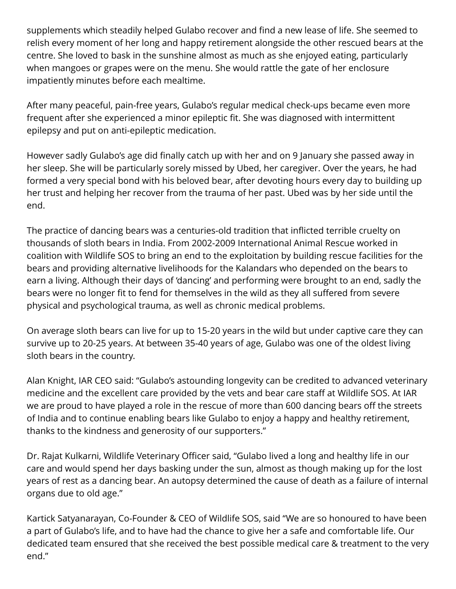supplements which steadily helped Gulabo recover and find a new lease of life. She seemed to relish every moment of her long and happy retirement alongside the other rescued bears at the centre. She loved to bask in the sunshine almost as much as she enjoyed eating, particularly when mangoes or grapes were on the menu. She would rattle the gate of her enclosure impatiently minutes before each mealtime.

After many peaceful, pain-free years, Gulabo's regular medical check-ups became even more frequent after she experienced a minor epileptic fit. She was diagnosed with intermittent epilepsy and put on anti-epileptic medication.

However sadly Gulabo's age did finally catch up with her and on 9 January she passed away in her sleep. She will be particularly sorely missed by Ubed, her caregiver. Over the years, he had formed a very special bond with his beloved bear, after devoting hours every day to building up her trust and helping her recover from the trauma of her past. Ubed was by her side until the end.

The practice of dancing bears was a centuries-old tradition that inflicted terrible cruelty on thousands of sloth bears in India. From 2002-2009 International Animal Rescue worked in coalition with Wildlife SOS to bring an end to the exploitation by building rescue facilities for the bears and providing alternative livelihoods for the Kalandars who depended on the bears to earn a living. Although their days of 'dancing' and performing were brought to an end, sadly the bears were no longer fit to fend for themselves in the wild as they all suffered from severe physical and psychological trauma, as well as chronic medical problems.

On average sloth bears can live for up to 15-20 years in the wild but under captive care they can survive up to 20-25 years. At between 35-40 years of age, Gulabo was one of the oldest living sloth bears in the country.

Alan Knight, IAR CEO said: "Gulabo's astounding longevity can be credited to advanced veterinary medicine and the excellent care provided by the vets and bear care staff at Wildlife SOS. At IAR we are proud to have played a role in the rescue of more than 600 dancing bears off the streets of India and to continue enabling bears like Gulabo to enjoy a happy and healthy retirement, thanks to the kindness and generosity of our supporters."

Dr. Rajat Kulkarni, Wildlife Veterinary Officer said, "Gulabo lived a long and healthy life in our care and would spend her days basking under the sun, almost as though making up for the lost years of rest as a dancing bear. An autopsy determined the cause of death as a failure of internal organs due to old age."

Kartick Satyanarayan, Co-Founder & CEO of Wildlife SOS, said "We are so honoured to have been a part of Gulabo's life, and to have had the chance to give her a safe and comfortable life. Our dedicated team ensured that she received the best possible medical care & treatment to the very end."